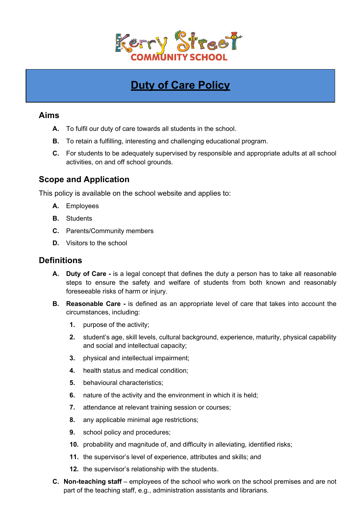

# **Duty of Care Policy**

### **Aims**

- **A.** To fulfil our duty of care towards all students in the school.
- **B.** To retain a fulfilling, interesting and challenging educational program.
- **C.** For students to be adequately supervised by responsible and appropriate adults at all school activities, on and off school grounds.

## **Scope and Application**

This policy is available on the school website and applies to:

- **A.** Employees
- **B.** Students
- **C.** Parents/Community members
- **D.** Visitors to the school

### **Definitions**

- **A. Duty of Care -** is a legal concept that defines the duty a person has to take all reasonable steps to ensure the safety and welfare of students from both known and reasonably foreseeable risks of harm or injury.
- **B. Reasonable Care -** is defined as an appropriate level of care that takes into account the circumstances, including:
	- **1.** purpose of the activity;
	- **2.** student's age, skill levels, cultural background, experience, maturity, physical capability and social and intellectual capacity;
	- **3.** physical and intellectual impairment;
	- **4.** health status and medical condition;
	- **5.** behavioural characteristics;
	- **6.** nature of the activity and the environment in which it is held;
	- **7.** attendance at relevant training session or courses;
	- **8.** any applicable minimal age restrictions;
	- **9.** school policy and procedures;
	- **10.** probability and magnitude of, and difficulty in alleviating, identified risks;
	- **11.** the supervisor's level of experience, attributes and skills; and
	- **12.** the supervisor's relationship with the students.
- **C. Non-teaching staff** employees of the school who work on the school premises and are not part of the teaching staff, e.g., administration assistants and librarians.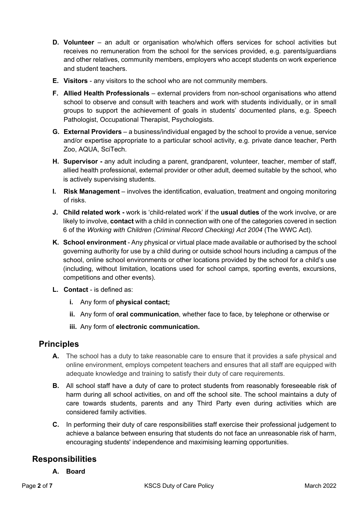- **D. Volunteer** an adult or organisation who/which offers services for school activities but receives no remuneration from the school for the services provided, e.g. parents/guardians and other relatives, community members, employers who accept students on work experience and student teachers.
- **E. Visitors** any visitors to the school who are not community members.
- **F. Allied Health Professionals** *–* external providers from non-school organisations who attend school to observe and consult with teachers and work with students individually, or in small groups to support the achievement of goals in students' documented plans, e.g. Speech Pathologist, Occupational Therapist, Psychologists.
- **G. External Providers** a business/individual engaged by the school to provide a venue, service and/or expertise appropriate to a particular school activity, e.g. private dance teacher, Perth Zoo, AQUA, SciTech.
- **H. Supervisor -** any adult including a parent, grandparent, volunteer, teacher, member of staff, allied health professional, external provider or other adult, deemed suitable by the school, who is actively supervising students.
- **I. Risk Management** involves the identification, evaluation, treatment and ongoing monitoring of risks.
- **J. Child related work -** work is 'child-related work' if the **usual duties** of the work involve, or are likely to involve, **contact** with a child in connection with one of the categories covered in section 6 of the *Working with Children (Criminal Record Checking) Act 2004* (The WWC Act).
- **K. School environment** Any physical or virtual place made available or authorised by the school governing authority for use by a child during or outside school hours including a campus of the school, online school environments or other locations provided by the school for a child's use (including, without limitation, locations used for school camps, sporting events, excursions, competitions and other events).
- **L. Contact** is defined as:
	- **i.** Any form of **physical contact;**
	- **ii.** Any form of **oral communication**, whether face to face, by telephone or otherwise or
	- **iii.** Any form of **electronic communication.**

### **Principles**

- **A.** The school has a duty to take reasonable care to ensure that it provides a safe physical and online environment, employs competent teachers and ensures that all staff are equipped with adequate knowledge and training to satisfy their duty of care requirements.
- **B.** All school staff have a duty of care to protect students from reasonably foreseeable risk of harm during all school activities, on and off the school site. The school maintains a duty of care towards students, parents and any Third Party even during activities which are considered family activities.
- **C.** In performing their duty of care responsibilities staff exercise their professional judgement to achieve a balance between ensuring that students do not face an unreasonable risk of harm, encouraging students' independence and maximising learning opportunities.

## **Responsibilities**

#### **A. Board**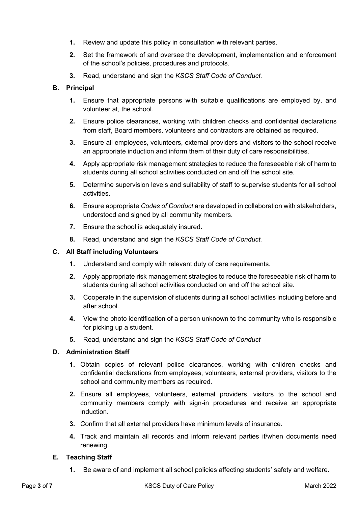- **1.** Review and update this policy in consultation with relevant parties.
- **2.** Set the framework of and oversee the development, implementation and enforcement of the school's policies, procedures and protocols.
- **3.** Read, understand and sign the *KSCS Staff Code of Conduct.*

#### **B. Principal**

- **1.** Ensure that appropriate persons with suitable qualifications are employed by, and volunteer at, the school.
- **2.** Ensure police clearances, working with children checks and confidential declarations from staff, Board members, volunteers and contractors are obtained as required.
- **3.** Ensure all employees, volunteers, external providers and visitors to the school receive an appropriate induction and inform them of their duty of care responsibilities.
- **4.** Apply appropriate risk management strategies to reduce the foreseeable risk of harm to students during all school activities conducted on and off the school site.
- **5.** Determine supervision levels and suitability of staff to supervise students for all school activities.
- **6.** Ensure appropriate *Codes of Conduct* are developed in collaboration with stakeholders, understood and signed by all community members.
- **7.** Ensure the school is adequately insured.
- **8.** Read, understand and sign the *KSCS Staff Code of Conduct.*

#### **C. All Staff including Volunteers**

- **1.** Understand and comply with relevant duty of care requirements.
- **2.** Apply appropriate risk management strategies to reduce the foreseeable risk of harm to students during all school activities conducted on and off the school site.
- **3.** Cooperate in the supervision of students during all school activities including before and after school.
- **4.** View the photo identification of a person unknown to the community who is responsible for picking up a student.
- **5.** Read, understand and sign the *KSCS Staff Code of Conduct*

#### **D. Administration Staff**

- **1.** Obtain copies of relevant police clearances, working with children checks and confidential declarations from employees, volunteers, external providers, visitors to the school and community members as required.
- **2.** Ensure all employees, volunteers, external providers, visitors to the school and community members comply with sign-in procedures and receive an appropriate induction.
- **3.** Confirm that all external providers have minimum levels of insurance.
- **4.** Track and maintain all records and inform relevant parties if/when documents need renewing.

#### **E. Teaching Staff**

**1.** Be aware of and implement all school policies affecting students' safety and welfare.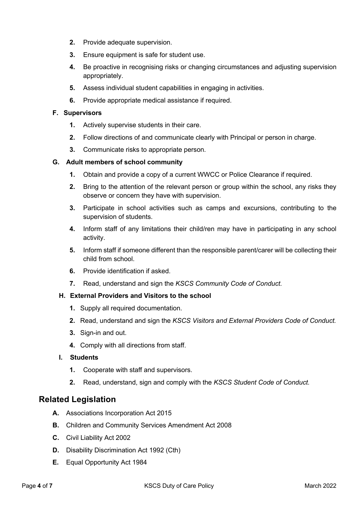- **2.** Provide adequate supervision.
- **3.** Ensure equipment is safe for student use.
- **4.** Be proactive in recognising risks or changing circumstances and adjusting supervision appropriately.
- **5.** Assess individual student capabilities in engaging in activities.
- **6.** Provide appropriate medical assistance if required.

#### **F. Supervisors**

- **1.** Actively supervise students in their care.
- **2.** Follow directions of and communicate clearly with Principal or person in charge.
- **3.** Communicate risks to appropriate person.

#### **G. Adult members of school community**

- **1.** Obtain and provide a copy of a current WWCC or Police Clearance if required.
- **2.** Bring to the attention of the relevant person or group within the school, any risks they observe or concern they have with supervision.
- **3.** Participate in school activities such as camps and excursions, contributing to the supervision of students.
- **4.** Inform staff of any limitations their child/ren may have in participating in any school activity.
- **5.** Inform staff if someone different than the responsible parent/carer will be collecting their child from school.
- **6.** Provide identification if asked.
- **7.** Read, understand and sign the *KSCS Community Code of Conduct.*

#### **H. External Providers and Visitors to the school**

- **1.** Supply all required documentation.
- **2.** Read, understand and sign the *KSCS Visitors and External Providers Code of Conduct.*
- **3.** Sign-in and out.
- **4.** Comply with all directions from staff.
- **I. Students** 
	- **1.** Cooperate with staff and supervisors.
	- **2.** Read, understand, sign and comply with the *KSCS Student Code of Conduct.*

## **Related Legislation**

- **A.** Associations Incorporation Act 2015
- **B.** Children and Community Services Amendment Act 2008
- **C.** Civil Liability Act 2002
- **D.** Disability Discrimination Act 1992 (Cth)
- **E.** Equal Opportunity Act 1984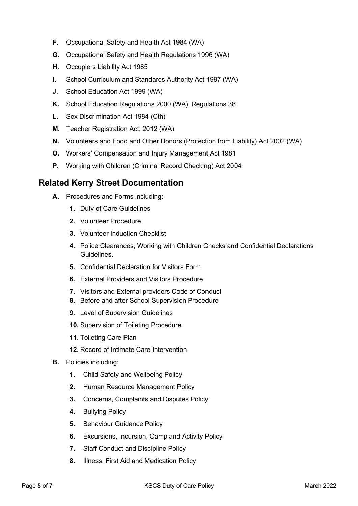- **F.** Occupational Safety and Health Act 1984 (WA)
- **G.** Occupational Safety and Health Regulations 1996 (WA)
- **H.** Occupiers Liability Act 1985
- **I.** School Curriculum and Standards Authority Act 1997 (WA)
- **J.** School Education Act 1999 (WA)
- **K.** School Education Regulations 2000 (WA), Regulations 38
- **L.** Sex Discrimination Act 1984 (Cth)
- **M.** Teacher Registration Act, 2012 (WA)
- **N.** Volunteers and Food and Other Donors (Protection from Liability) Act 2002 (WA)
- **O.** Workers' Compensation and Injury Management Act 1981
- **P.** Working with Children (Criminal Record Checking) Act 2004

### **Related Kerry Street Documentation**

- **A.** Procedures and Forms including:
	- **1.** Duty of Care Guidelines
	- **2.** Volunteer Procedure
	- **3.** Volunteer Induction Checklist
	- **4.** Police Clearances, Working with Children Checks and Confidential Declarations **Guidelines**
	- **5.** Confidential Declaration for Visitors Form
	- **6.** External Providers and Visitors Procedure
	- **7.** Visitors and External providers Code of Conduct
	- **8.** Before and after School Supervision Procedure
	- **9.** Level of Supervision Guidelines
	- **10.** Supervision of Toileting Procedure
	- **11.** Toileting Care Plan
	- **12.** Record of Intimate Care Intervention
- **B.** Policies including:
	- **1.** Child Safety and Wellbeing Policy
	- **2.** Human Resource Management Policy
	- **3.** Concerns, Complaints and Disputes Policy
	- **4.** Bullying Policy
	- **5.** Behaviour Guidance Policy
	- **6.** Excursions, Incursion, Camp and Activity Policy
	- **7.** Staff Conduct and Discipline Policy
	- **8.** Illness, First Aid and Medication Policy